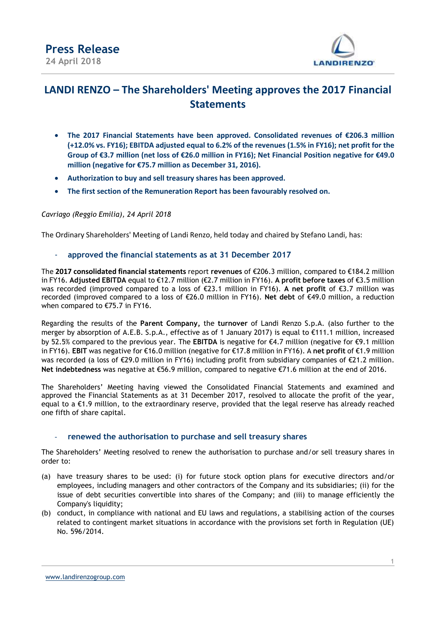

## **LANDI RENZO – The Shareholders' Meeting approves the 2017 Financial Statements**

- **The 2017 Financial Statements have been approved. Consolidated revenues of €206.3 million (+12.0% vs. FY16); EBITDA adjusted equal to 6.2% of the revenues (1.5% in FY16); net profit for the Group of €3.7 million (net loss of €26.0 million in FY16); Net Financial Position negative for €49.0 million (negative for €75.7 million as December 31, 2016).**
- **Authorization to buy and sell treasury shares has been approved.**
- **The first section of the Remuneration Report has been favourably resolved on.**

### *Cavriago (Reggio Emilia), 24 April 2018*

The Ordinary Shareholders' Meeting of Landi Renzo, held today and chaired by Stefano Landi, has:

- **approved the financial statements as at 31 December 2017**

The **2017 consolidated financial statements** report **revenues** of €206.3 million, compared to €184.2 million in FY16. **Adjusted EBITDA** equal to €12.7 million (€2.7 million in FY16). **A profit before taxes** of €3.5 million was recorded (improved compared to a loss of €23.1 million in FY16). **A net profit** of €3.7 million was recorded (improved compared to a loss of €26.0 million in FY16). **Net debt** of €49.0 million, a reduction when compared to €75.7 in FY16.

Regarding the results of the **Parent Company,** the **turnover** of Landi Renzo S.p.A. (also further to the merger by absorption of A.E.B. S.p.A., effective as of 1 January 2017) is equal to €111.1 million, increased by 52.5% compared to the previous year. The **EBITDA** is negative for €4.7 million (negative for €9.1 million in FY16). **EBIT** was negative for €16.0 million (negative for €17.8 million in FY16). A **net profit** of €1.9 million was recorded (a loss of €29.0 million in FY16) including profit from subsidiary companies of €21.2 million. **Net indebtedness** was negative at €56.9 million, compared to negative €71.6 million at the end of 2016.

The Shareholders' Meeting having viewed the Consolidated Financial Statements and examined and approved the Financial Statements as at 31 December 2017, resolved to allocate the profit of the year, equal to a €1.9 million, to the extraordinary reserve, provided that the legal reserve has already reached one fifth of share capital.

### renewed the authorisation to purchase and sell treasury shares

The Shareholders' Meeting resolved to renew the authorisation to purchase and/or sell treasury shares in order to:

- (a) have treasury shares to be used: (i) for future stock option plans for executive directors and/or employees, including managers and other contractors of the Company and its subsidiaries; (ii) for the issue of debt securities convertible into shares of the Company; and (iii) to manage efficiently the Company's liquidity;
- (b) conduct, in compliance with national and EU laws and regulations, a stabilising action of the courses related to contingent market situations in accordance with the provisions set forth in Regulation (UE) No. 596/2014.